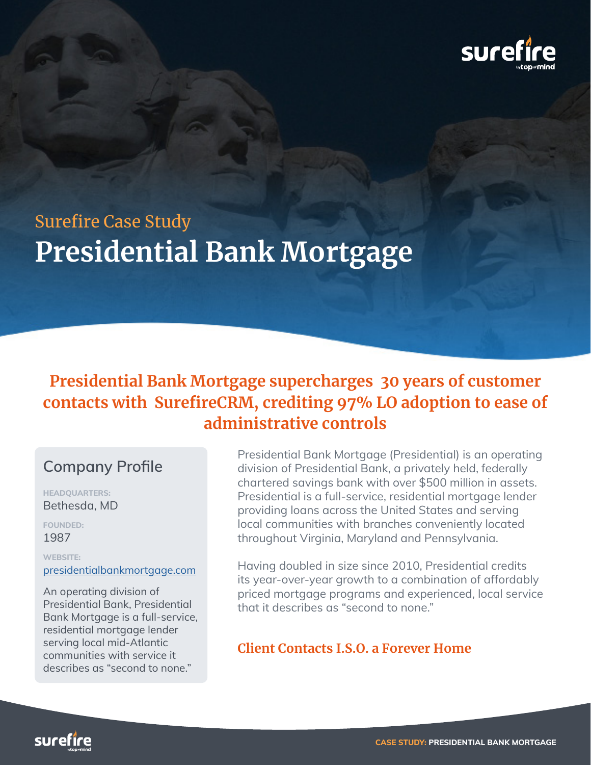

# **Presidential Bank Mortgage** Surefire Case Study

## **Presidential Bank Mortgage supercharges 30 years of customer contacts with SurefireCRM, crediting 97% LO adoption to ease of administrative controls**

## **Company Profile**

**HEADQUARTERS:** Bethesda, MD

**FOUNDED:** 1987

**WEBSITE:**

#### [presidentialbankmortgage.com](http://presidentialbankmortgage.com)

An operating division of Presidential Bank, Presidential Bank Mortgage is a full-service, residential mortgage lender serving local mid-Atlantic communities with service it describes as "second to none."

Presidential Bank Mortgage (Presidential) is an operating division of Presidential Bank, a privately held, federally chartered savings bank with over \$500 million in assets. Presidential is a full-service, residential mortgage lender providing loans across the United States and serving local communities with branches conveniently located throughout Virginia, Maryland and Pennsylvania.

Having doubled in size since 2010, Presidential credits its year-over-year growth to a combination of affordably priced mortgage programs and experienced, local service that it describes as "second to none."

#### **Client Contacts I.S.O. a Forever Home**

surefire

**CASE STUDY: PRESIDENTIAL BANK MORTGAGE**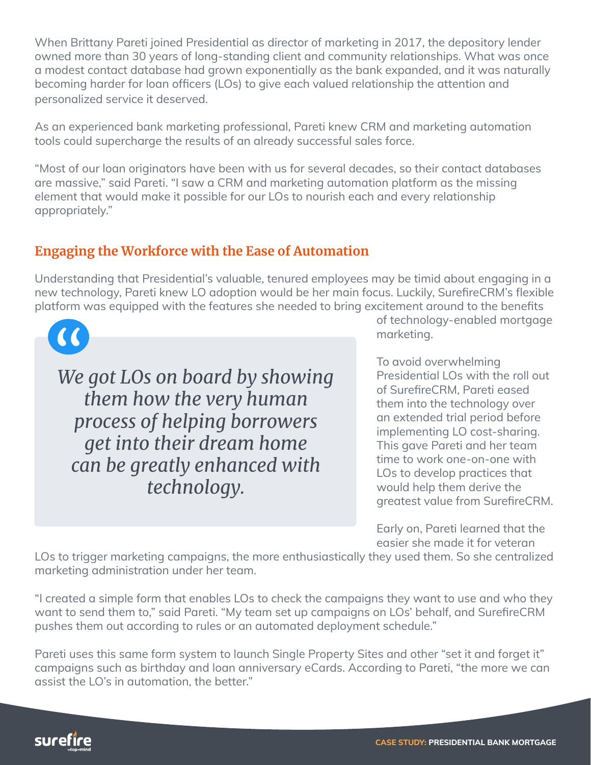When Brittany Pareti joined Presidential as director of marketing in 2017, the depository lender owned more than 30 years of long-standing client and community relationships. What was once a modest contact database had grown exponentially as the bank expanded, and it was naturally becoming harder for loan officers (LOs) to give each valued relationship the attention and personalized service it deserved.

As an experienced bank marketing professional, Pareti knew CRM and marketing automation tools could supercharge the results of an already successful sales force.

"Most of our loan originators have been with us for several decades, so their contact databases are massive," said Pareti. "I saw a CRM and marketing automation platform as the missing element that would make it possible for our LOs to nourish each and every relationship appropriately."

## **Engaging the Workforce with the Ease of Automation**

Understanding that Presidential's valuable, tenured employees may be timid about engaging in a new technology, Pareti knew LO adoption would be her main focus. Luckily, SurefireCRM's flexible platform was equipped with the features she needed to bring excitement around to the benefits

 $\alpha$ 

*We got LOs on board by showing them how the very human process of helping borrowers get into their dream home can be greatly enhanced with technology.*

of technology-enabled mortgage marketing.

To avoid overwhelming Presidential LOs with the roll out of SurefireCRM, Pareti eased them into the technology over an extended trial period before implementing LO cost-sharing. This gave Pareti and her team time to work one-on-one with LOs to develop practices that would help them derive the greatest value from SurefireCRM.

Early on, Pareti learned that the easier she made it for veteran

LOs to trigger marketing campaigns, the more enthusiastically they used them. So she centralized marketing administration under her team.

"I created a simple form that enables LOs to check the campaigns they want to use and who they want to send them to," said Pareti. "My team set up campaigns on LOs' behalf, and SurefireCRM pushes them out according to rules or an automated deployment schedule."

Pareti uses this same form system to launch Single Property Sites and other "set it and forget it" campaigns such as birthday and loan anniversary eCards. According to Pareti, "the more we can assist the LO's in automation, the better."